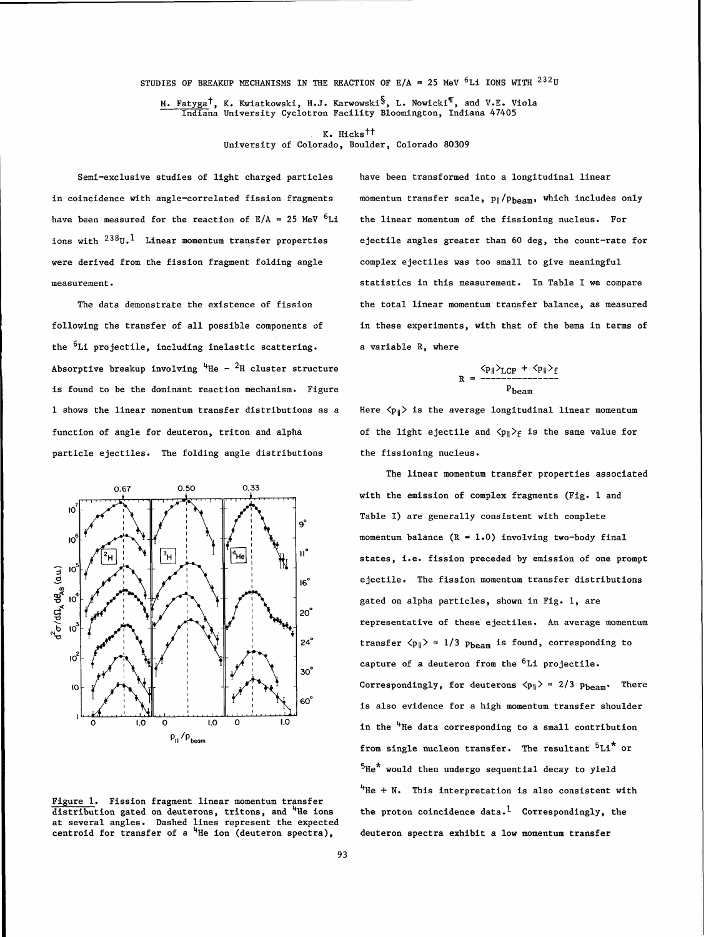## STUDIES OF BREAKUP MECHANISMS IN THE REACTION OF  $E/A = 25$  MeV  $6Li$  IONS WITH  $^{232}U$

M. Fatyga<sup>†</sup>, K. Kwiatkowski, H.J. Karwowski<sup>§</sup>, L. Nowicki<sup>¶</sup>, and V.E. Viola Indiana University Cyclotron Facility Bloomington, Indiana 47405

> K. Hicks<sup>††</sup> University of Colorado, Boulder, Colorado 80309

Semi-exclusive studies of light charged particles have been transformed into a longitudinal linear in coincidence with angle-correlated fission fragments momentum transfer scale,  $p_{\parallel}/p_{\text{beam}}$ , which includes only have been measured for the reaction of  $E/A = 25$  MeV  $6Li$  the linear momentum of the fissioning nucleus. For were derived from the fission fragment folding angle complex ejectiles was too small to give meaningful measurement.

The data demonstrate the existence of fission following the transfer of all possible components of the <sup>6</sup>Li projectile, including inelastic scattering. Absorptive breakup involving  $4He - 2H$  cluster structure is found to be the dominant reaction mechanism. Figure 1 shows the linear momentum transfer distributions as a function of angle for deuteron, triton and alpha particle ejectiles. The folding angle distributions



Figure 1. Fission fragment linear momentum transfer distribution gated on deuterons, tritons, and "He ions the proton coincidence data.<sup>1</sup> Correspondingly, the at several angles. Dashed lines represent the expected centroid for transfer of a "He ion (deuteron spectra), deuteron spectra exhibit a low momentum transfer

ions with  $^{238}$ U. Linear momentum transfer properties ejectile angles greater than 60 deg, the count-rate for statistics in this measurement. In Table I we compare the total linear momentum transfer balance, as measured in these experiments, with that of the bema in terms of a variable R, where

$$
R = \frac{\langle p_{\parallel} \rangle_{LCP} + \langle p_{\parallel} \rangle_{f}}{p_{\text{beam}}}
$$

Here  $\langle p_{\parallel} \rangle$  is the average longitudinal linear momentum of the light ejectile and  $\langle p_{\parallel} \rangle_f$  is the same value for the fissioning nucleus.

The linear momentum transfer properties associated with the emission of complex fragments (Fig. 1 and Table I) are generally consistent with complete momentum balance (R = 1.0) involving two-body final states, i.e. fission preceded by emission of one prompt ejectile. The fission momentum transfer distributions gated on alpha particles, shown in Fig. 1, are representative of these ejectiles. An average momentum transfer  $\langle p_{\parallel} \rangle \approx 1/3$   $p_{\text{beam}}$  is found, corresponding to capture of a deuteron from the  $6Li$  projectile. Correspondingly, for deuterons  $\langle p_{\parallel} \rangle \approx 2/3 p_{\text{beam}}$ . There is also evidence for a high momentum transfer shoulder in the  $4^{\mu}$ He data corresponding to a small contribution from single nucleon transfer. The resultant  $5Li^*$  or  $5^{\text{He}}$ \* would then undergo sequential decay to yield  $4^4$ He + N. This interpretation is also consistent with